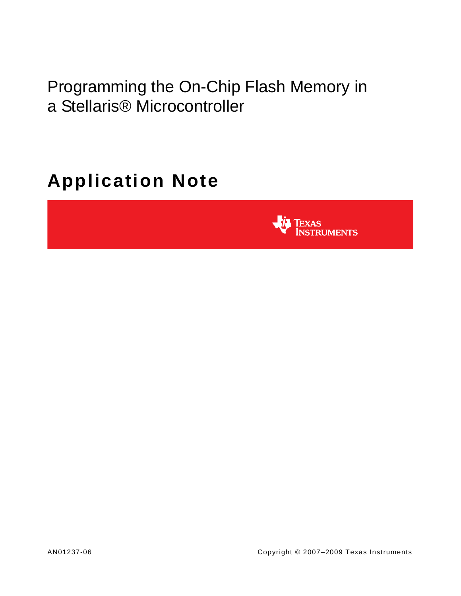Programming the On-Chip Flash Memory in a Stellaris® Microcontroller

# **Application Note**

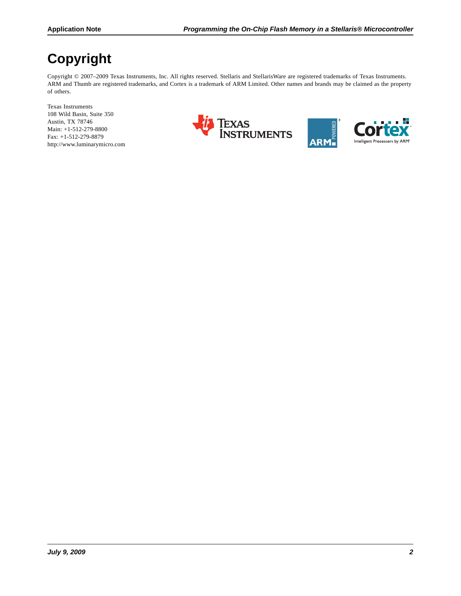## **Copyright**

Copyright © 2007-2009 Texas Instruments, Inc. All rights reserved. Stellaris and StellarisWare are registered trademarks of Texas Instruments. ARM and Thumb are registered trademarks, and Cortex is a trademark of ARM Limited. Other names and brands may be claimed as the property of others.

Texas Instruments 108 Wild Basin, Suite 350 Austin, TX 78746 Main: +1-512-279-8800 Fax: +1-512-279-8879 http://www.luminarymicro.com





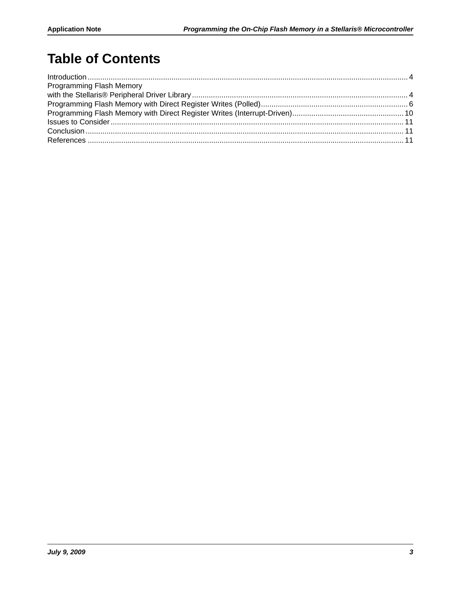## **Table of Contents**

| Programming Flash Memory |  |
|--------------------------|--|
|                          |  |
|                          |  |
|                          |  |
|                          |  |
|                          |  |
|                          |  |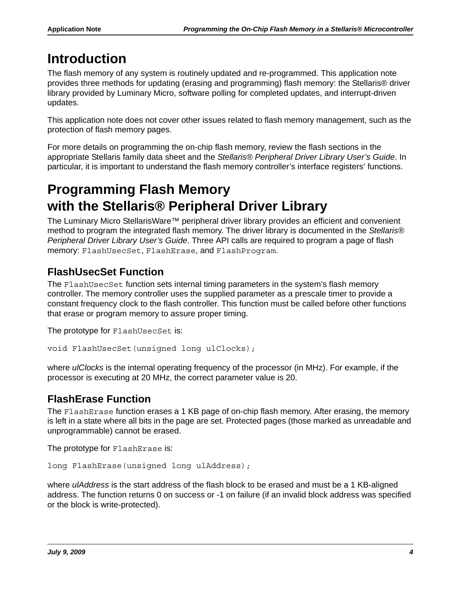## <span id="page-3-0"></span>**Introduction**

The flash memory of any system is routinely updated and re-programmed. This application note provides three methods for updating (erasing and programming) flash memory: the Stellaris® driver library provided by Luminary Micro, software polling for completed updates, and interrupt-driven updates.

This application note does not cover other issues related to flash memory management, such as the protection of flash memory pages.

For more details on programming the on-chip flash memory, review the flash sections in the appropriate Stellaris family data sheet and the *Stellaris® Peripheral Driver Library User's Guide*. In particular, it is important to understand the flash memory controller's interface registers' functions.

## <span id="page-3-1"></span>**Programming Flash Memory with the Stellaris® Peripheral Driver Library**

The Luminary Micro StellarisWare™ peripheral driver library provides an efficient and convenient method to program the integrated flash memory. The driver library is documented in the *Stellaris® Peripheral Driver Library User's Guide*. Three API calls are required to program a page of flash memory: FlashUsecSet, FlashErase, and FlashProgram.

### **FlashUsecSet Function**

The FlashUsecSet function sets internal timing parameters in the system's flash memory controller. The memory controller uses the supplied parameter as a prescale timer to provide a constant frequency clock to the flash controller. This function must be called before other functions that erase or program memory to assure proper timing.

The prototype for FlashUsecSet is:

```
void FlashUsecSet(unsigned long ulClocks);
```
where *ulClocks* is the internal operating frequency of the processor (in MHz). For example, if the processor is executing at 20 MHz, the correct parameter value is 20.

### **FlashErase Function**

The FlashErase function erases a 1 KB page of on-chip flash memory. After erasing, the memory is left in a state where all bits in the page are set. Protected pages (those marked as unreadable and unprogrammable) cannot be erased.

The prototype for FlashErase is:

```
long FlashErase(unsigned long ulAddress);
```
where *ulAddress* is the start address of the flash block to be erased and must be a 1 KB-aligned address. The function returns 0 on success or -1 on failure (if an invalid block address was specified or the block is write-protected).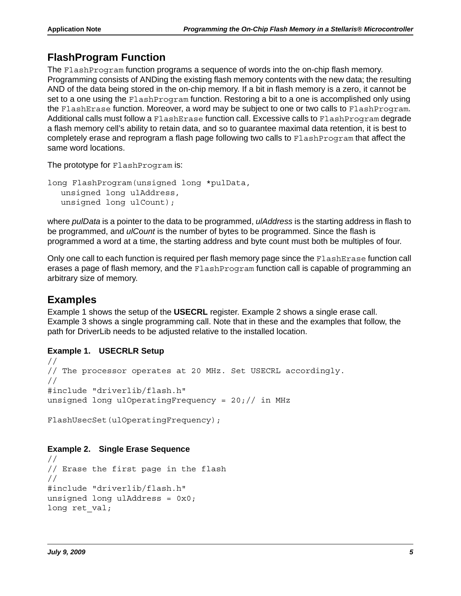### **FlashProgram Function**

The FlashProgram function programs a sequence of words into the on-chip flash memory. Programming consists of ANDing the existing flash memory contents with the new data; the resulting AND of the data being stored in the on-chip memory. If a bit in flash memory is a zero, it cannot be set to a one using the FlashProgram function. Restoring a bit to a one is accomplished only using the FlashErase function. Moreover, a word may be subject to one or two calls to FlashProgram. Additional calls must follow a FlashErase function call. Excessive calls to FlashProgram degrade a flash memory cell's ability to retain data, and so to guarantee maximal data retention, it is best to completely erase and reprogram a flash page following two calls to FlashProgram that affect the same word locations.

The prototype for FlashProgram is:

```
long FlashProgram(unsigned long *pulData,
  unsigned long ulAddress,
  unsigned long ulCount);
```
where *pulData* is a pointer to the data to be programmed, *ulAddress* is the starting address in flash to be programmed, and *ulCount* is the number of bytes to be programmed. Since the flash is programmed a word at a time, the starting address and byte count must both be multiples of four.

Only one call to each function is required per flash memory page since the FlashErase function call erases a page of flash memory, and the FlashProgram function call is capable of programming an arbitrary size of memory.

### **Examples**

[Example 1](#page-4-0) shows the setup of the **USECRL** register. Example 2 shows a single erase call. Example 3 shows a single programming call. Note that in these and the examples that follow, the path for DriverLib needs to be adjusted relative to the installed location.

#### <span id="page-4-0"></span>**Example 1. USECRLR Setup**

```
//
// The processor operates at 20 MHz. Set USECRL accordingly.
//
#include "driverlib/flash.h"
unsigned long ulOperatingFrequency = 20// in MHz
```

```
FlashUsecSet(ulOperatingFrequency);
```
#### **Example 2. Single Erase Sequence**

```
//
// Erase the first page in the flash
//
#include "driverlib/flash.h"
unsigned long ulAddress = 0x0;
long ret val;
```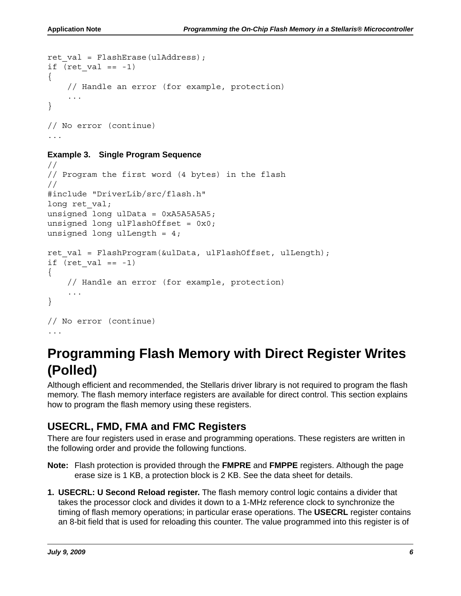```
ret val = FlashErase(ulAddress);
if (ret val == -1)
{
     // Handle an error (for example, protection)
     ...
}
// No error (continue)
...
```
#### **Example 3. Single Program Sequence**

```
//
// Program the first word (4 bytes) in the flash
//
#include "DriverLib/src/flash.h"
long ret val;
unsigned long ulData = 0xA5A5A5A5;
unsigned long ulFlashOffset = 0x0;
unsigned long ulLength = 4;
ret val = FlashProgram(&ulData, ulFlashOffset, ulLength);
if (ret val == -1)
{
     // Handle an error (for example, protection)
     ...
}
// No error (continue)
...
```
## <span id="page-5-0"></span>**Programming Flash Memory with Direct Register Writes (Polled)**

Although efficient and recommended, the Stellaris driver library is not required to program the flash memory. The flash memory interface registers are available for direct control. This section explains how to program the flash memory using these registers.

### **USECRL, FMD, FMA and FMC Registers**

There are four registers used in erase and programming operations. These registers are written in the following order and provide the following functions.

- **Note:** Flash protection is provided through the **FMPRE** and **FMPPE** registers. Although the page erase size is 1 KB, a protection block is 2 KB. See the data sheet for details.
- **1. USECRL: U Second Reload register.** The flash memory control logic contains a divider that takes the processor clock and divides it down to a 1-MHz reference clock to synchronize the timing of flash memory operations; in particular erase operations. The **USECRL** register contains an 8-bit field that is used for reloading this counter. The value programmed into this register is of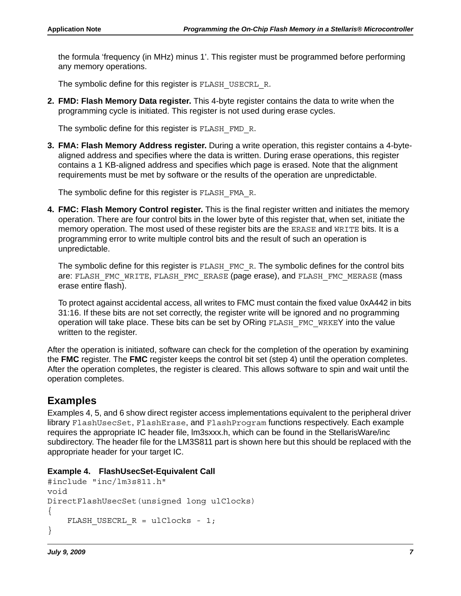the formula 'frequency (in MHz) minus 1'. This register must be programmed before performing any memory operations.

The symbolic define for this register is FLASH\_USECRL\_R.

**2. FMD: Flash Memory Data register.** This 4-byte register contains the data to write when the programming cycle is initiated. This register is not used during erase cycles.

The symbolic define for this register is FLASH\_FMD\_R.

**3. FMA: Flash Memory Address register.** During a write operation, this register contains a 4-bytealigned address and specifies where the data is written. During erase operations, this register contains a 1 KB-aligned address and specifies which page is erased. Note that the alignment requirements must be met by software or the results of the operation are unpredictable.

The symbolic define for this register is FLASH\_FMA\_R.

**4. FMC: Flash Memory Control register.** This is the final register written and initiates the memory operation. There are four control bits in the lower byte of this register that, when set, initiate the memory operation. The most used of these register bits are the ERASE and WRITE bits. It is a programming error to write multiple control bits and the result of such an operation is unpredictable.

The symbolic define for this register is FLASH\_FMC\_R. The symbolic defines for the control bits are: FLASH\_FMC\_WRITE, FLASH\_FMC\_ERASE (page erase), and FLASH\_FMC\_MERASE (mass erase entire flash).

To protect against accidental access, all writes to FMC must contain the fixed value 0xA442 in bits 31:16. If these bits are not set correctly, the register write will be ignored and no programming operation will take place. These bits can be set by ORing FLASH\_FMC\_WRKEY into the value written to the register.

After the operation is initiated, software can check for the completion of the operation by examining the **FMC** register. The **FMC** register keeps the control bit set (step 4) until the operation completes. After the operation completes, the register is cleared. This allows software to spin and wait until the operation completes.

### **Examples**

Examples 4, 5, and 6 show direct register access implementations equivalent to the peripheral driver library FlashUsecSet, FlashErase, and FlashProgram functions respectively. Each example requires the appropriate IC header file, lm3sxxx.h, which can be found in the StellarisWare/inc subdirectory. The header file for the LM3S811 part is shown here but this should be replaced with the appropriate header for your target IC.

#### **Example 4. FlashUsecSet-Equivalent Call**

```
#include "inc/lm3s811.h"
void
DirectFlashUsecSet(unsigned long ulClocks)
{
    FLASH_USECRL R = ulClocks - 1;}
```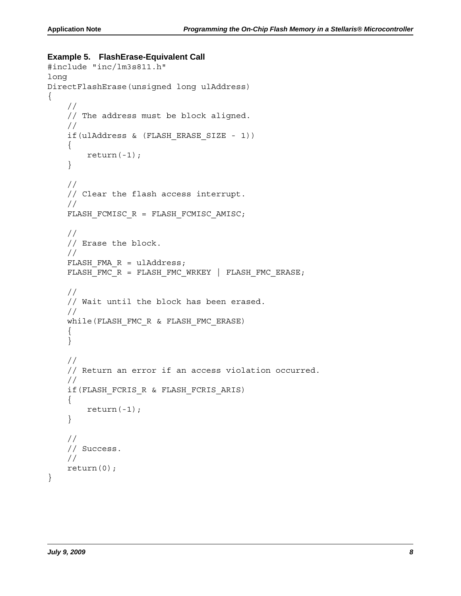#### **Example 5. FlashErase-Equivalent Call**

```
#include "inc/lm3s811.h"
long
DirectFlashErase(unsigned long ulAddress)
{
     //
     // The address must be block aligned.
     //
     if(ulAddress & (FLASH_ERASE_SIZE - 1))
     {
        return(-1);
     }
     //
     // Clear the flash access interrupt.
     //
     FLASH_FCMISC_R = FLASH_FCMISC_AMISC;
     //
     // Erase the block.
     //
    FLASH FMA R = u1Address;
    FLASH_FMC_R = FLASH_FMC_WRKEY | FLASH_FMC_ERASE;
     //
     // Wait until the block has been erased.
     //
     while(FLASH_FMC_R & FLASH_FMC_ERASE)
     {
     }
     //
     // Return an error if an access violation occurred.
     //
     if(FLASH_FCRIS_R & FLASH_FCRIS_ARIS)
     {
         return(-1);
     }
     //
     // Success.
     //
     return(0);
}
```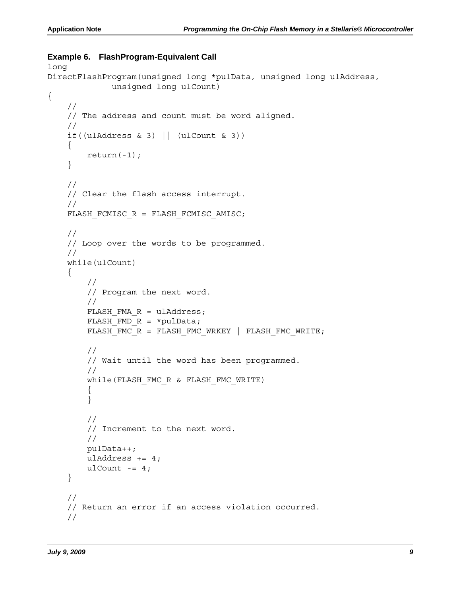#### **Example 6. FlashProgram-Equivalent Call**

```
long
DirectFlashProgram(unsigned long *pulData, unsigned long ulAddress,
              unsigned long ulCount)
{
     //
     // The address and count must be word aligned.
     //
    if((ulAddress & 3) || (ulCount & 3))
     {
        return(-1);
     }
     //
     // Clear the flash access interrupt.
     //
    FLASH_FCMISC_R = FLASH_FCMISC_AMISC;
     //
     // Loop over the words to be programmed.
     //
     while(ulCount)
     {
         //
         // Program the next word.
         //
        FLASH FMA R = u1Address;
        FLASH FMD R = *pulData;FLASH_FMC_R = FLASH_FMC_WRKEY | FLASH_FMC_WRITE;
         //
         // Wait until the word has been programmed.
         //
         while(FLASH_FMC_R & FLASH_FMC_WRITE)
\{ }
         //
         // Increment to the next word.
         //
         pulData++;
        ulAddress += 4;ulCount - = 4; }
     //
     // Return an error if an access violation occurred.
     //
```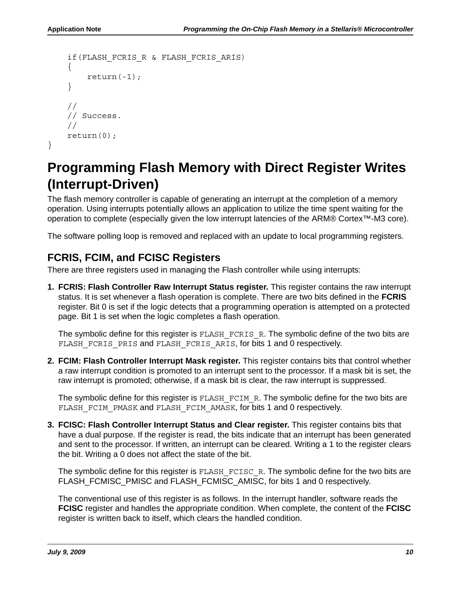```
 if(FLASH_FCRIS_R & FLASH_FCRIS_ARIS)
     {
          return(-1);
     }
     //
     // Success.
     //
     return(0);
}
```
## <span id="page-9-0"></span>**Programming Flash Memory with Direct Register Writes (Interrupt-Driven)**

The flash memory controller is capable of generating an interrupt at the completion of a memory operation. Using interrupts potentially allows an application to utilize the time spent waiting for the operation to complete (especially given the low interrupt latencies of the ARM® Cortex<sup>™</sup>-M3 core).

The software polling loop is removed and replaced with an update to local programming registers.

### **FCRIS, FCIM, and FCISC Registers**

There are three registers used in managing the Flash controller while using interrupts:

**1. FCRIS: Flash Controller Raw Interrupt Status register.** This register contains the raw interrupt status. It is set whenever a flash operation is complete. There are two bits defined in the **FCRIS** register. Bit 0 is set if the logic detects that a programming operation is attempted on a protected page. Bit 1 is set when the logic completes a flash operation.

The symbolic define for this register is  $FLASH$   $FCRIS$  R. The symbolic define of the two bits are FLASH\_FCRIS\_PRIS and FLASH\_FCRIS\_ARIS, for bits 1 and 0 respectively.

**2. FCIM: Flash Controller Interrupt Mask register.** This register contains bits that control whether a raw interrupt condition is promoted to an interrupt sent to the processor. If a mask bit is set, the raw interrupt is promoted; otherwise, if a mask bit is clear, the raw interrupt is suppressed.

The symbolic define for this register is  $FLASH$   $FCIM$  R. The symbolic define for the two bits are FLASH\_FCIM\_PMASK and FLASH\_FCIM\_AMASK, for bits 1 and 0 respectively.

**3. FCISC: Flash Controller Interrupt Status and Clear register.** This register contains bits that have a dual purpose. If the register is read, the bits indicate that an interrupt has been generated and sent to the processor. If written, an interrupt can be cleared. Writing a 1 to the register clears the bit. Writing a 0 does not affect the state of the bit.

The symbolic define for this register is FLASH\_FCISC\_R. The symbolic define for the two bits are FLASH\_FCMISC\_PMISC and FLASH\_FCMISC\_AMISC, for bits 1 and 0 respectively.

The conventional use of this register is as follows. In the interrupt handler, software reads the **FCISC** register and handles the appropriate condition. When complete, the content of the **FCISC** register is written back to itself, which clears the handled condition.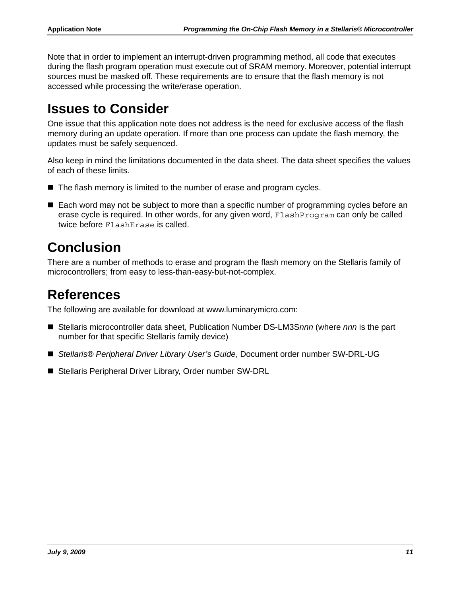Note that in order to implement an interrupt-driven programming method, all code that executes during the flash program operation must execute out of SRAM memory. Moreover, potential interrupt sources must be masked off. These requirements are to ensure that the flash memory is not accessed while processing the write/erase operation.

## <span id="page-10-0"></span>**Issues to Consider**

One issue that this application note does not address is the need for exclusive access of the flash memory during an update operation. If more than one process can update the flash memory, the updates must be safely sequenced.

Also keep in mind the limitations documented in the data sheet. The data sheet specifies the values of each of these limits.

- The flash memory is limited to the number of erase and program cycles.
- Each word may not be subject to more than a specific number of programming cycles before an erase cycle is required. In other words, for any given word, FlashProgram can only be called twice before FlashErase is called.

## <span id="page-10-1"></span>**Conclusion**

There are a number of methods to erase and program the flash memory on the Stellaris family of microcontrollers; from easy to less-than-easy-but-not-complex.

## <span id="page-10-2"></span>**References**

The following are available for download at www.luminarymicro.com:

- Stellaris microcontroller data sheet, Publication Number DS-LM3S*nnn* (where *nnn* is the part number for that specific Stellaris family device)
- *Stellaris® Peripheral Driver Library User's Guide*, Document order number SW-DRL-UG
- Stellaris Peripheral Driver Library, Order number SW-DRL